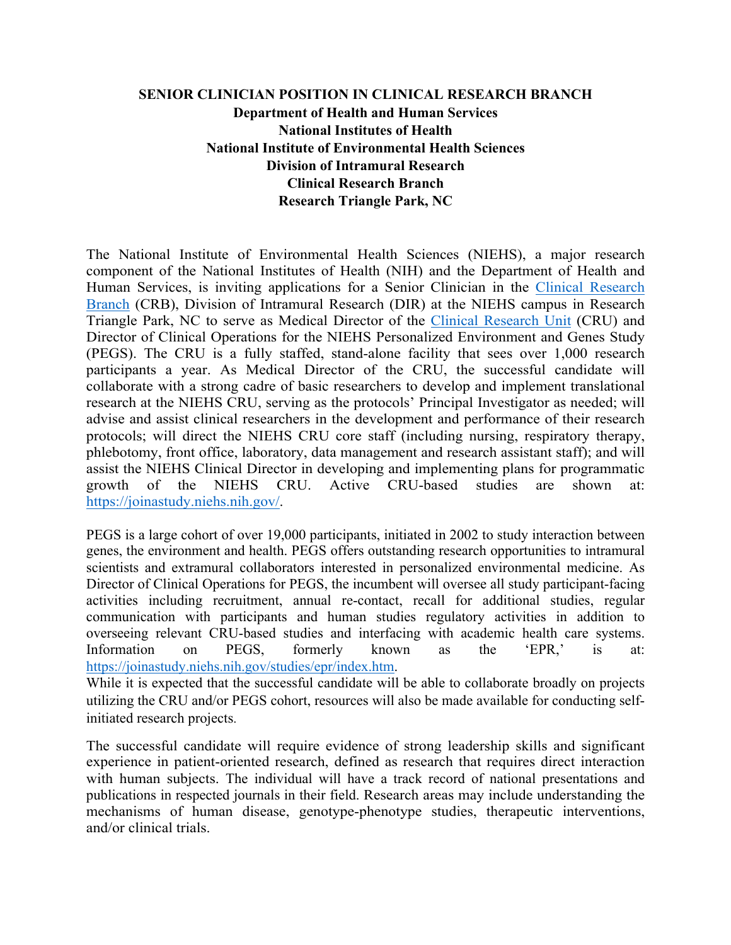## **SENIOR CLINICIAN POSITION IN CLINICAL RESEARCH BRANCH Department of Health and Human Services National Institutes of Health National Institute of Environmental Health Sciences Division of Intramural Research Clinical Research Branch Research Triangle Park, NC**

The National Institute of Environmental Health Sciences (NIEHS), a major research component of the National Institutes of Health (NIH) and the Department of Health and Human Services, is inviting applications for a Senior Clinician in the Clinical Research Branch (CRB), Division of Intramural Research (DIR) at the NIEHS campus in Research Triangle Park, NC to serve as Medical Director of the Clinical Research Unit (CRU) and Director of Clinical Operations for the NIEHS Personalized Environment and Genes Study (PEGS). The CRU is a fully staffed, stand-alone facility that sees over 1,000 research participants a year. As Medical Director of the CRU, the successful candidate will collaborate with a strong cadre of basic researchers to develop and implement translational research at the NIEHS CRU, serving as the protocols' Principal Investigator as needed; will advise and assist clinical researchers in the development and performance of their research protocols; will direct the NIEHS CRU core staff (including nursing, respiratory therapy, phlebotomy, front office, laboratory, data management and research assistant staff); and will assist the NIEHS Clinical Director in developing and implementing plans for programmatic growth of the NIEHS CRU. Active CRU-based studies are shown at: https://joinastudy.niehs.nih.gov/.

PEGS is a large cohort of over 19,000 participants, initiated in 2002 to study interaction between genes, the environment and health. PEGS offers outstanding research opportunities to intramural scientists and extramural collaborators interested in personalized environmental medicine. As Director of Clinical Operations for PEGS, the incumbent will oversee all study participant-facing activities including recruitment, annual re-contact, recall for additional studies, regular communication with participants and human studies regulatory activities in addition to overseeing relevant CRU-based studies and interfacing with academic health care systems. Information on PEGS, formerly known as the 'EPR,' is at: https://joinastudy.niehs.nih.gov/studies/epr/index.htm.

While it is expected that the successful candidate will be able to collaborate broadly on projects utilizing the CRU and/or PEGS cohort, resources will also be made available for conducting selfinitiated research projects.

The successful candidate will require evidence of strong leadership skills and significant experience in patient-oriented research, defined as research that requires direct interaction with human subjects. The individual will have a track record of national presentations and publications in respected journals in their field. Research areas may include understanding the mechanisms of human disease, genotype-phenotype studies, therapeutic interventions, and/or clinical trials.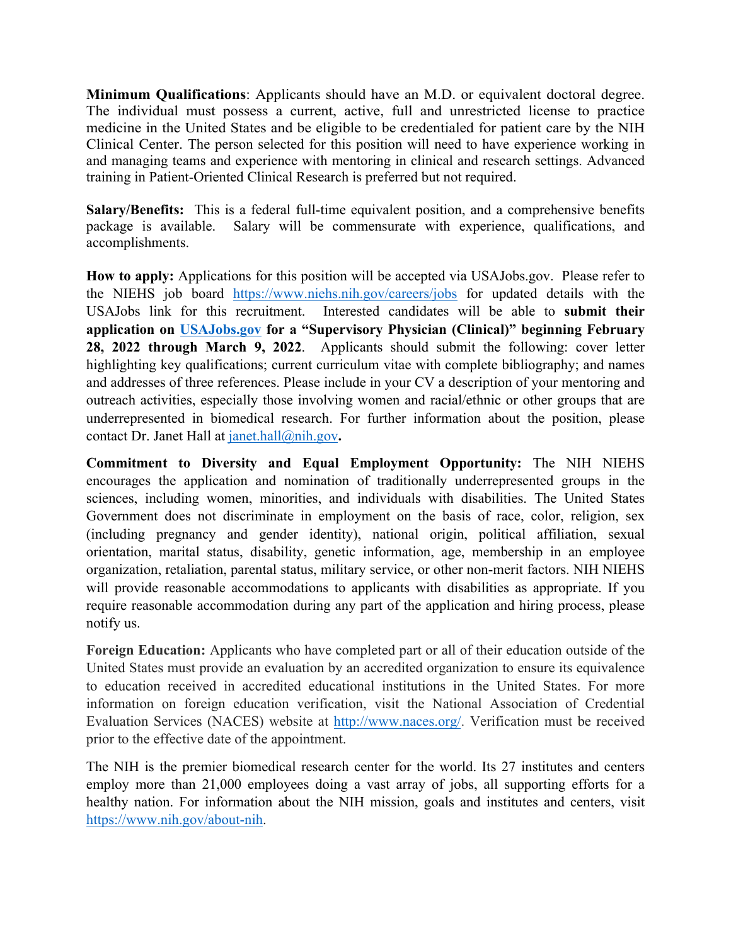**Minimum Qualifications**: Applicants should have an M.D. or equivalent doctoral degree. The individual must possess a current, active, full and unrestricted license to practice medicine in the United States and be eligible to be credentialed for patient care by the NIH Clinical Center. The person selected for this position will need to have experience working in and managing teams and experience with mentoring in clinical and research settings. Advanced training in Patient-Oriented Clinical Research is preferred but not required.

**Salary/Benefits:** This is a federal full-time equivalent position, and a comprehensive benefits package is available. Salary will be commensurate with experience, qualifications, and accomplishments.

**How to apply:** Applications for this position will be accepted via USAJobs.gov. Please refer to the NIEHS job board https://www.niehs.nih.gov/careers/jobs for updated details with the USAJobs link for this recruitment. Interested candidates will be able to **submit their application on USAJobs.gov for a "Supervisory Physician (Clinical)" beginning February 28, 2022 through March 9, 2022**. Applicants should submit the following: cover letter highlighting key qualifications; current curriculum vitae with complete bibliography; and names and addresses of three references. Please include in your CV a description of your mentoring and outreach activities, especially those involving women and racial/ethnic or other groups that are underrepresented in biomedical research. For further information about the position, please contact Dr. Janet Hall at janet.hall@nih.gov**.** 

**Commitment to Diversity and Equal Employment Opportunity:** The NIH NIEHS encourages the application and nomination of traditionally underrepresented groups in the sciences, including women, minorities, and individuals with disabilities. The United States Government does not discriminate in employment on the basis of race, color, religion, sex (including pregnancy and gender identity), national origin, political affiliation, sexual orientation, marital status, disability, genetic information, age, membership in an employee organization, retaliation, parental status, military service, or other non-merit factors. NIH NIEHS will provide reasonable accommodations to applicants with disabilities as appropriate. If you require reasonable accommodation during any part of the application and hiring process, please notify us.

**Foreign Education:** Applicants who have completed part or all of their education outside of the United States must provide an evaluation by an accredited organization to ensure its equivalence to education received in accredited educational institutions in the United States. For more information on foreign education verification, visit the National Association of Credential Evaluation Services (NACES) website at http://www.naces.org/. Verification must be received prior to the effective date of the appointment.

The NIH is the premier biomedical research center for the world. Its 27 institutes and centers employ more than 21,000 employees doing a vast array of jobs, all supporting efforts for a healthy nation. For information about the NIH mission, goals and institutes and centers, visit https://www.nih.gov/about-nih.